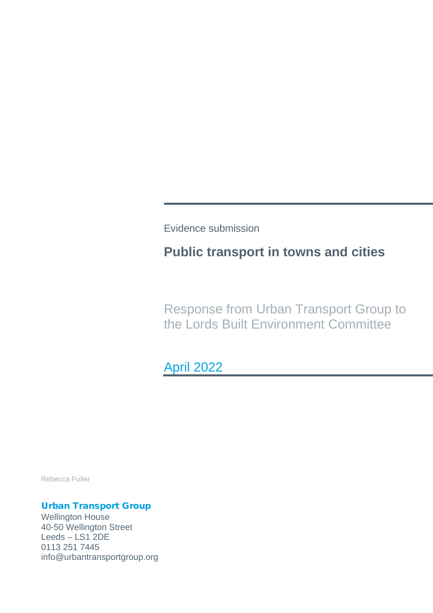Evidence submission

# **Public transport in towns and cities**

Response from Urban Transport Group to the Lords Built Environment Committee

April 2022

Rebecca Fuller

### Urban Transport Group

Wellington House 40-50 Wellington Street Leeds – LS1 2DE 0113 251 7445 info@urbantransportgroup.org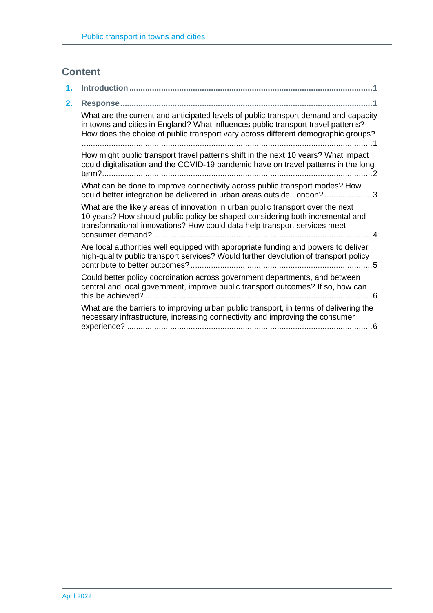## **Content**

| 1. |                                                                                                                                                                                                                                                               |
|----|---------------------------------------------------------------------------------------------------------------------------------------------------------------------------------------------------------------------------------------------------------------|
| 2. | Response…………………………………………………………………………………………                                                                                                                                                                                                                    |
|    | What are the current and anticipated levels of public transport demand and capacity<br>in towns and cities in England? What influences public transport travel patterns?<br>How does the choice of public transport vary across different demographic groups? |
|    | How might public transport travel patterns shift in the next 10 years? What impact<br>could digitalisation and the COVID-19 pandemic have on travel patterns in the long                                                                                      |
|    | What can be done to improve connectivity across public transport modes? How<br>could better integration be delivered in urban areas outside London?3                                                                                                          |
|    | What are the likely areas of innovation in urban public transport over the next<br>10 years? How should public policy be shaped considering both incremental and<br>transformational innovations? How could data help transport services meet<br>4            |
|    | Are local authorities well equipped with appropriate funding and powers to deliver<br>high-quality public transport services? Would further devolution of transport policy<br>contribute to better outcomes?.<br>-5                                           |
|    | Could better policy coordination across government departments, and between<br>central and local government, improve public transport outcomes? If so, how can                                                                                                |
|    | What are the barriers to improving urban public transport, in terms of delivering the<br>necessary infrastructure, increasing connectivity and improving the consumer                                                                                         |
|    |                                                                                                                                                                                                                                                               |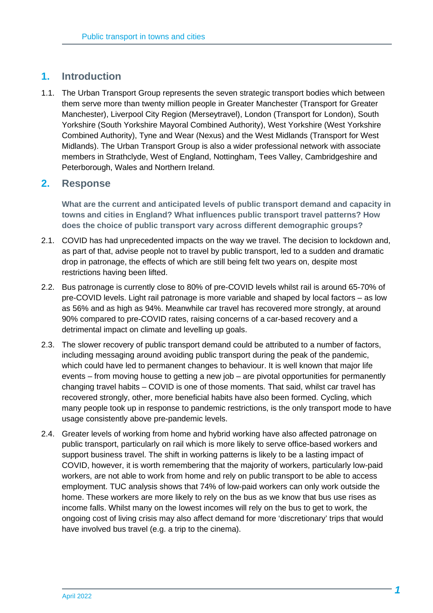### **1. Introduction**

1.1. The Urban Transport Group represents the seven strategic transport bodies which between them serve more than twenty million people in Greater Manchester (Transport for Greater Manchester), Liverpool City Region (Merseytravel), London (Transport for London), South Yorkshire (South Yorkshire Mayoral Combined Authority), West Yorkshire (West Yorkshire Combined Authority), Tyne and Wear (Nexus) and the West Midlands (Transport for West Midlands). The Urban Transport Group is also a wider professional network with associate members in Strathclyde, West of England, Nottingham, Tees Valley, Cambridgeshire and Peterborough, Wales and Northern Ireland.

#### **2. Response**

**What are the current and anticipated levels of public transport demand and capacity in towns and cities in England? What influences public transport travel patterns? How does the choice of public transport vary across different demographic groups?**

- 2.1. COVID has had unprecedented impacts on the way we travel. The decision to lockdown and, as part of that, advise people not to travel by public transport, led to a sudden and dramatic drop in patronage, the effects of which are still being felt two years on, despite most restrictions having been lifted.
- 2.2. Bus patronage is currently close to 80% of pre-COVID levels whilst rail is around 65-70% of pre-COVID levels. Light rail patronage is more variable and shaped by local factors – as low as 56% and as high as 94%. Meanwhile car travel has recovered more strongly, at around 90% compared to pre-COVID rates, raising concerns of a car-based recovery and a detrimental impact on climate and levelling up goals.
- 2.3. The slower recovery of public transport demand could be attributed to a number of factors, including messaging around avoiding public transport during the peak of the pandemic, which could have led to permanent changes to behaviour. It is well known that major life events – from moving house to getting a new job – are pivotal opportunities for permanently changing travel habits – COVID is one of those moments. That said, whilst car travel has recovered strongly, other, more beneficial habits have also been formed. Cycling, which many people took up in response to pandemic restrictions, is the only transport mode to have usage consistently above pre-pandemic levels.
- 2.4. Greater levels of working from home and hybrid working have also affected patronage on public transport, particularly on rail which is more likely to serve office-based workers and support business travel. The shift in working patterns is likely to be a lasting impact of COVID, however, it is worth remembering that the majority of workers, particularly low-paid workers, are not able to work from home and rely on public transport to be able to access employment. TUC analysis shows that 74% of low-paid workers can only work outside the home. These workers are more likely to rely on the bus as we know that bus use rises as income falls. Whilst many on the lowest incomes will rely on the bus to get to work, the ongoing cost of living crisis may also affect demand for more 'discretionary' trips that would have involved bus travel (e.g. a trip to the cinema).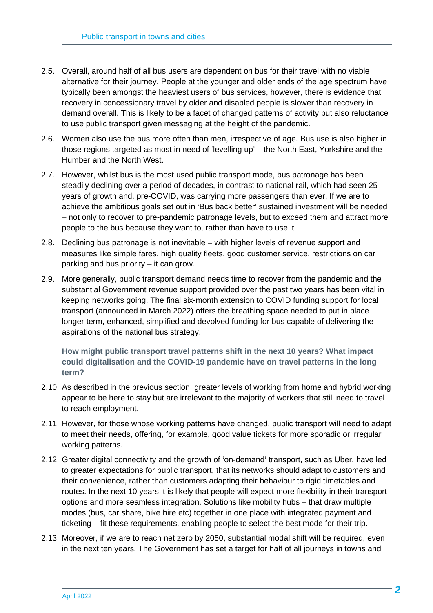- 2.5. Overall, around half of all bus users are dependent on bus for their travel with no viable alternative for their journey. People at the younger and older ends of the age spectrum have typically been amongst the heaviest users of bus services, however, there is evidence that recovery in concessionary travel by older and disabled people is slower than recovery in demand overall. This is likely to be a facet of changed patterns of activity but also reluctance to use public transport given messaging at the height of the pandemic.
- 2.6. Women also use the bus more often than men, irrespective of age. Bus use is also higher in those regions targeted as most in need of 'levelling up' – the North East, Yorkshire and the Humber and the North West.
- 2.7. However, whilst bus is the most used public transport mode, bus patronage has been steadily declining over a period of decades, in contrast to national rail, which had seen 25 years of growth and, pre-COVID, was carrying more passengers than ever. If we are to achieve the ambitious goals set out in 'Bus back better' sustained investment will be needed – not only to recover to pre-pandemic patronage levels, but to exceed them and attract more people to the bus because they want to, rather than have to use it.
- 2.8. Declining bus patronage is not inevitable with higher levels of revenue support and measures like simple fares, high quality fleets, good customer service, restrictions on car parking and bus priority – it can grow.
- 2.9. More generally, public transport demand needs time to recover from the pandemic and the substantial Government revenue support provided over the past two years has been vital in keeping networks going. The final six-month extension to COVID funding support for local transport (announced in March 2022) offers the breathing space needed to put in place longer term, enhanced, simplified and devolved funding for bus capable of delivering the aspirations of the national bus strategy.

**How might public transport travel patterns shift in the next 10 years? What impact could digitalisation and the COVID-19 pandemic have on travel patterns in the long term?**

- 2.10. As described in the previous section, greater levels of working from home and hybrid working appear to be here to stay but are irrelevant to the majority of workers that still need to travel to reach employment.
- 2.11. However, for those whose working patterns have changed, public transport will need to adapt to meet their needs, offering, for example, good value tickets for more sporadic or irregular working patterns.
- 2.12. Greater digital connectivity and the growth of 'on-demand' transport, such as Uber, have led to greater expectations for public transport, that its networks should adapt to customers and their convenience, rather than customers adapting their behaviour to rigid timetables and routes. In the next 10 years it is likely that people will expect more flexibility in their transport options and more seamless integration. Solutions like mobility hubs – that draw multiple modes (bus, car share, bike hire etc) together in one place with integrated payment and ticketing – fit these requirements, enabling people to select the best mode for their trip.
- 2.13. Moreover, if we are to reach net zero by 2050, substantial modal shift will be required, even in the next ten years. The Government has set a target for half of all journeys in towns and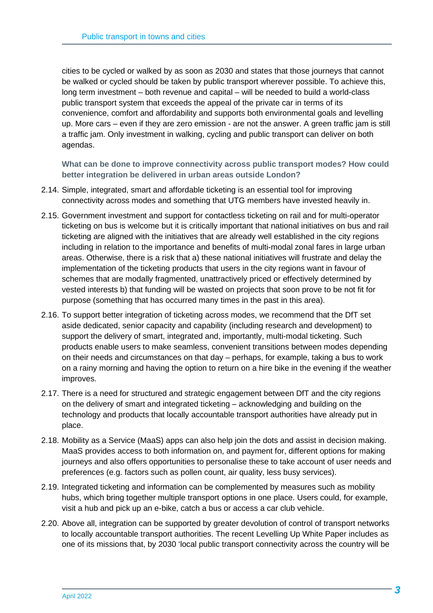cities to be cycled or walked by as soon as 2030 and states that those journeys that cannot be walked or cycled should be taken by public transport wherever possible. To achieve this, long term investment – both revenue and capital – will be needed to build a world-class public transport system that exceeds the appeal of the private car in terms of its convenience, comfort and affordability and supports both environmental goals and levelling up. More cars – even if they are zero emission - are not the answer. A green traffic jam is still a traffic jam. Only investment in walking, cycling and public transport can deliver on both agendas.

**What can be done to improve connectivity across public transport modes? How could better integration be delivered in urban areas outside London?**

- 2.14. Simple, integrated, smart and affordable ticketing is an essential tool for improving connectivity across modes and something that UTG members have invested heavily in.
- 2.15. Government investment and support for contactless ticketing on rail and for multi-operator ticketing on bus is welcome but it is critically important that national initiatives on bus and rail ticketing are aligned with the initiatives that are already well established in the city regions including in relation to the importance and benefits of multi-modal zonal fares in large urban areas. Otherwise, there is a risk that a) these national initiatives will frustrate and delay the implementation of the ticketing products that users in the city regions want in favour of schemes that are modally fragmented, unattractively priced or effectively determined by vested interests b) that funding will be wasted on projects that soon prove to be not fit for purpose (something that has occurred many times in the past in this area).
- 2.16. To support better integration of ticketing across modes, we recommend that the DfT set aside dedicated, senior capacity and capability (including research and development) to support the delivery of smart, integrated and, importantly, multi-modal ticketing. Such products enable users to make seamless, convenient transitions between modes depending on their needs and circumstances on that day – perhaps, for example, taking a bus to work on a rainy morning and having the option to return on a hire bike in the evening if the weather improves.
- 2.17. There is a need for structured and strategic engagement between DfT and the city regions on the delivery of smart and integrated ticketing – acknowledging and building on the technology and products that locally accountable transport authorities have already put in place.
- 2.18. Mobility as a Service (MaaS) apps can also help join the dots and assist in decision making. MaaS provides access to both information on, and payment for, different options for making journeys and also offers opportunities to personalise these to take account of user needs and preferences (e.g. factors such as pollen count, air quality, less busy services).
- 2.19. Integrated ticketing and information can be complemented by measures such as mobility hubs, which bring together multiple transport options in one place. Users could, for example, visit a hub and pick up an e-bike, catch a bus or access a car club vehicle.
- 2.20. Above all, integration can be supported by greater devolution of control of transport networks to locally accountable transport authorities. The recent Levelling Up White Paper includes as one of its missions that, by 2030 'local public transport connectivity across the country will be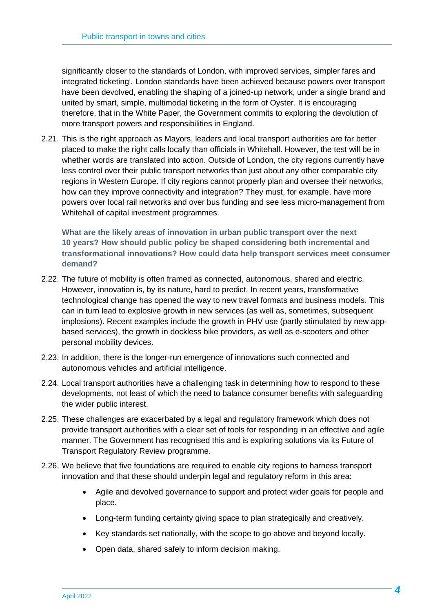significantly closer to the standards of London, with improved services, simpler fares and integrated ticketing'. London standards have been achieved because powers over transport have been devolved, enabling the shaping of a joined-up network, under a single brand and united by smart, simple, multimodal ticketing in the form of Oyster. It is encouraging therefore, that in the White Paper, the Government commits to exploring the devolution of more transport powers and responsibilities in England.

2.21. This is the right approach as Mayors, leaders and local transport authorities are far better placed to make the right calls locally than officials in Whitehall. However, the test will be in whether words are translated into action. Outside of London, the city regions currently have less control over their public transport networks than just about any other comparable city regions in Western Europe. If city regions cannot properly plan and oversee their networks, how can they improve connectivity and integration? They must, for example, have more powers over local rail networks and over bus funding and see less micro-management from Whitehall of capital investment programmes.

**What are the likely areas of innovation in urban public transport over the next 10 years? How should public policy be shaped considering both incremental and transformational innovations? How could data help transport services meet consumer demand?**

- 2.22. The future of mobility is often framed as connected, autonomous, shared and electric. However, innovation is, by its nature, hard to predict. In recent years, transformative technological change has opened the way to new travel formats and business models. This can in turn lead to explosive growth in new services (as well as, sometimes, subsequent implosions). Recent examples include the growth in PHV use (partly stimulated by new appbased services), the growth in dockless bike providers, as well as e-scooters and other personal mobility devices.
- 2.23. In addition, there is the longer-run emergence of innovations such connected and autonomous vehicles and artificial intelligence.
- 2.24. Local transport authorities have a challenging task in determining how to respond to these developments, not least of which the need to balance consumer benefits with safeguarding the wider public interest.
- 2.25. These challenges are exacerbated by a legal and regulatory framework which does not provide transport authorities with a clear set of tools for responding in an effective and agile manner. The Government has recognised this and is exploring solutions via its Future of Transport Regulatory Review programme.
- 2.26. We believe that five foundations are required to enable city regions to harness transport innovation and that these should underpin legal and regulatory reform in this area:
	- Agile and devolved governance to support and protect wider goals for people and place.
	- Long-term funding certainty giving space to plan strategically and creatively.
	- Key standards set nationally, with the scope to go above and beyond locally.
	- Open data, shared safely to inform decision making.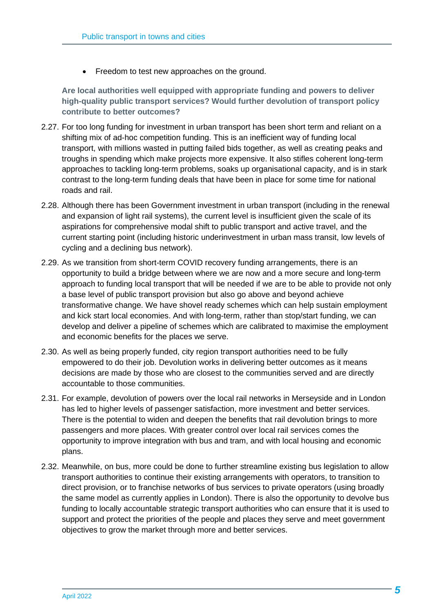• Freedom to test new approaches on the ground.

**Are local authorities well equipped with appropriate funding and powers to deliver high-quality public transport services? Would further devolution of transport policy contribute to better outcomes?**

- 2.27. For too long funding for investment in urban transport has been short term and reliant on a shifting mix of ad-hoc competition funding. This is an inefficient way of funding local transport, with millions wasted in putting failed bids together, as well as creating peaks and troughs in spending which make projects more expensive. It also stifles coherent long-term approaches to tackling long-term problems, soaks up organisational capacity, and is in stark contrast to the long-term funding deals that have been in place for some time for national roads and rail.
- 2.28. Although there has been Government investment in urban transport (including in the renewal and expansion of light rail systems), the current level is insufficient given the scale of its aspirations for comprehensive modal shift to public transport and active travel, and the current starting point (including historic underinvestment in urban mass transit, low levels of cycling and a declining bus network).
- 2.29. As we transition from short-term COVID recovery funding arrangements, there is an opportunity to build a bridge between where we are now and a more secure and long-term approach to funding local transport that will be needed if we are to be able to provide not only a base level of public transport provision but also go above and beyond achieve transformative change. We have shovel ready schemes which can help sustain employment and kick start local economies. And with long-term, rather than stop/start funding, we can develop and deliver a pipeline of schemes which are calibrated to maximise the employment and economic benefits for the places we serve.
- 2.30. As well as being properly funded, city region transport authorities need to be fully empowered to do their job. Devolution works in delivering better outcomes as it means decisions are made by those who are closest to the communities served and are directly accountable to those communities.
- 2.31. For example, devolution of powers over the local rail networks in Merseyside and in London has led to higher levels of passenger satisfaction, more investment and better services. There is the potential to widen and deepen the benefits that rail devolution brings to more passengers and more places. With greater control over local rail services comes the opportunity to improve integration with bus and tram, and with local housing and economic plans.
- 2.32. Meanwhile, on bus, more could be done to further streamline existing bus legislation to allow transport authorities to continue their existing arrangements with operators, to transition to direct provision, or to franchise networks of bus services to private operators (using broadly the same model as currently applies in London). There is also the opportunity to devolve bus funding to locally accountable strategic transport authorities who can ensure that it is used to support and protect the priorities of the people and places they serve and meet government objectives to grow the market through more and better services.